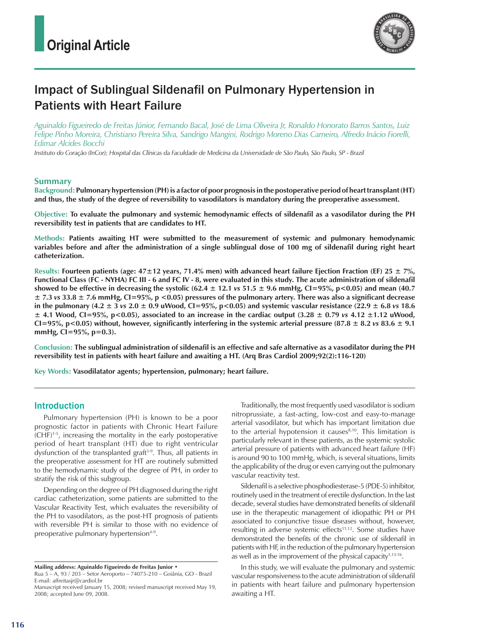

# Impact of Sublingual Sildenafil on Pulmonary Hypertension in Patients with Heart Failure

*Aguinaldo Figueiredo de Freitas Júnior, Fernando Bacal, José de Lima Oliveira Jr, Ronaldo Honorato Barros Santos, Luiz Felipe Pinho Moreira, Christiano Pereira Silva, Sandrigo Mangini, Rodrigo Moreno Dias Carneiro, Alfredo Inácio Fiorelli, Edimar Alcides Bocchi*

*Instituto do Coração (InCor); Hospital das Clínicas da Faculdade de Medicina da Universidade de São Paulo, São Paulo, SP - Brazil*

## **Summary**

**Background: Pulmonary hypertension (PH) is a factor of poor prognosis in the postoperative period of heart transplant (HT) and thus, the study of the degree of reversibility to vasodilators is mandatory during the preoperative assessment.** 

**Objective: To evaluate the pulmonary and systemic hemodynamic effects of sildenafil as a vasodilator during the PH reversibility test in patients that are candidates to HT.**

**Methods: Patients awaiting HT were submitted to the measurement of systemic and pulmonary hemodynamic variables before and after the administration of a single sublingual dose of 100 mg of sildenafil during right heart catheterization.** 

**Results: Fourteen patients (age: 47±12 years, 71.4% men) with advanced heart failure Ejection Fraction (EF) 25 ± 7%, Functional Class (FC - NYHA) FC III - 6 and FC IV - 8, were evaluated in this study. The acute administration of sildenafil**  showed to be effective in decreasing the systolic  $(62.4 \pm 12.1 \text{ vs } 51.5 \pm 9.6 \text{ mmHg}, \text{Cl} = 95\%, \text{p} < 0.05)$  and mean  $(40.7 \text{ m})$ **± 7.3** *vs* **33.8 ± 7.6 mmHg, CI=95%, p <0.05) pressures of the pulmonary artery. There was also a significant decrease**  in the pulmonary (4.2  $\pm$  3 *vs* 2.0  $\pm$  0.9 uWood, CI=95%, p<0.05) and systemic vascular resistance (22.9  $\pm$  6.8 *vs* 18.6  $\pm$  4.1 Wood, CI=95%, p<0.05), associated to an increase in the cardiac output (3.28  $\pm$  0.79 *vs* 4.12  $\pm$ 1.12 uWood, CI=95%, p<0.05) without, however, significantly interfering in the systemic arterial pressure  $(87.8 \pm 8.2 \text{ vs } 83.6 \pm 9.1 \text{ s})$ **mmHg, CI=95%, p=0.3).**

**Conclusion: The sublingual administration of sildenafil is an effective and safe alternative as a vasodilator during the PH reversibility test in patients with heart failure and awaiting a HT. (Arq Bras Cardiol 2009;92(2):116-120)**

**Key Words: Vasodilatator agents; hypertension, pulmonary; heart failure.**

## Introduction

Pulmonary hypertension (PH) is known to be a poor prognostic factor in patients with Chronic Heart Failure (CHF)1-5, increasing the mortality in the early postoperative period of heart transplant (HT) due to right ventricular dysfunction of the transplanted graft<sup>3-9</sup>. Thus, all patients in the preoperative assessment for HT are routinely submitted to the hemodynamic study of the degree of PH, in order to stratify the risk of this subgroup.

Depending on the degree of PH diagnosed during the right cardiac catheterization, some patients are submitted to the Vascular Reactivity Test, which evaluates the reversibility of the PH to vasodilators, as the post-HT prognosis of patients with reversible PH is similar to those with no evidence of preoperative pulmonary hypertension<sup>4-9</sup>.

**Mailing address: Aguinaldo Figueiredo de Freitas Junior •** 

Traditionally, the most frequently used vasodilator is sodium nitroprussiate, a fast-acting, low-cost and easy-to-manage arterial vasodilator, but which has important limitation due to the arterial hypotension it causes $8,10$ . This limitation is particularly relevant in these patients, as the systemic systolic arterial pressure of patients with advanced heart failure (HF) is around 90 to 100 mmHg, which, is several situations, limits the applicability of the drug or even carrying out the pulmonary vascular reactivity test.

Sildenafil is a selective phosphodiesterase-5 (PDE-5) inhibitor, routinely used in the treatment of erectile dysfunction. In the last decade, several studies have demonstrated benefits of sildenafil use in the therapeutic management of idiopathic PH or PH associated to conjunctive tissue diseases without, however, resulting in adverse systemic effects<sup>11,12</sup>. Some studies have demonstrated the benefits of the chronic use of sildenafil in patients with HF, in the reduction of the pulmonary hypertension as well as in the improvement of the physical capacity $1,13-16$ .

In this study, we will evaluate the pulmonary and systemic vascular responsiveness to the acute administration of sildenafil in patients with heart failure and pulmonary hypertension awaiting a HT.

Rua 5 – A, 93 / 203 – Setor Aeroporto – 74075-210 – Goiânia, GO - Brazil E-mail: affreitasjr@cardiol.br

Manuscript received January 15, 2008; revised manuscript received May 19, 2008; accepted June 09, 2008.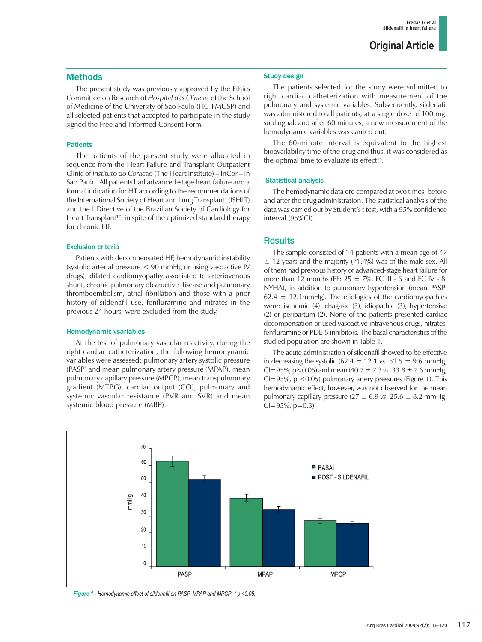## **Methods**

The present study was previously approved by the Ethics Committee on Research of *Hospital das Clínicas* of the School of Medicine of the University of Sao Paulo (HC-FMUSP) and all selected patients that accepted to participate in the study signed the Free and Informed Consent Form.

### Patients

The patients of the present study were allocated in sequence from the Heart Failure and Transplant Outpatient Clinic of *Instituto do Coracao* (The Heart Institute) – InCor – in Sao Paulo. All patients had advanced-stage heart failure and a formal indication for HT according to the recommendations of the International Society of Heart and Lung Transplant<sup>4</sup> (ISHLT) and the I Directive of the Brazilian Society of Cardiology for Heart Transplant<sup>17</sup>, in spite of the optimized standard therapy for chronic HF.

### Exclusion criteria

Patients with decompensated HF, hemodynamic instability (systolic arterial pressure < 90 mmHg or using vasoactive IV drugs), dilated cardiomyopathy associated to arteriovenous shunt, chronic pulmonary obstructive disease and pulmonary thromboembolism, atrial fibrillation and those with a prior history of sildenafil use, fenfluramine and nitrates in the previous 24 hours, were excluded from the study.

### Hemodynamic vsariables

At the test of pulmonary vascular reactivity, during the right cardiac catheterization, the following hemodynamic variables were assessed: pulmonary artery systolic pressure (PASP) and mean pulmonary artery pressure (MPAP), mean pulmonary capillary pressure (MPCP), mean transpulmonary gradient (MTPG), cardiac output (CO), pulmonary and systemic vascular resistance (PVR and SVR) and mean systemic blood pressure (MBP).

### Study design

The patients selected for the study were submitted to right cardiac catheterization with measurement of the pulmonary and systemic variables. Subsequently, sildenafil was administered to all patients, at a single dose of 100 mg, sublingual, and after 60 minutes, a new measurement of the hemodynamic variables was carried out.

The 60-minute interval is equivalent to the highest bioavailability time of the drug and thus, it was considered as the optimal time to evaluate its effect<sup>18</sup>.

## Statistical analysis

The hemodynamic data ere compared at two times, before and after the drug administration. The statistical analysis of the data was carried out by Student's *t* test, with a 95% confidence interval (95%CI).

## **Results**

The sample consisted of 14 patients with a mean age of 47  $\pm$  12 years and the majority (71.4%) was of the male sex. All of them had previous history of advanced-stage heart failure for more than 12 months (EF:  $25 \pm 7\%$ , FC III - 6 and FC IV - 8, NYHA), in addition to pulmonary hypertension (mean PASP:  $62.4 \pm 12.1$  mmHg). The etiologies of the cardiomyopathies were: ischemic (4), chagasic (3), idiopathic (3), hypertensive (2) or peripartum (2). None of the patients presented cardiac decompensation or used vasoactive intravenous drugs, nitrates, fenfluramine or PDE-5 inhibitors. The basal characteristics of the studied population are shown in Table 1.

The acute administration of sildenafil showed to be effective in decreasing the systolic  $(62.4 \pm 12.1 \text{ vs. } 51.5 \pm 9.6 \text{ mmHg})$ , CI=95%,  $p < 0.05$ ) and mean (40.7  $\pm$  7.3 *vs*. 33.8  $\pm$  7.6 mmHg,  $Cl = 95\%$ , p < 0.05) pulmonary artery pressures (Figure 1). This hemodynamic effect, however, was not observed for the mean pulmonary capillary pressure  $(27 \pm 6.9 \text{ vs. } 25.6 \pm 8.2 \text{ mmHg})$ ,  $Cl = 95\%, p=0.3$ ).



*Figure 1 - Hemodynamic effect of sildenafil on PASP, MPAP and MPCP; \* p <0.05.*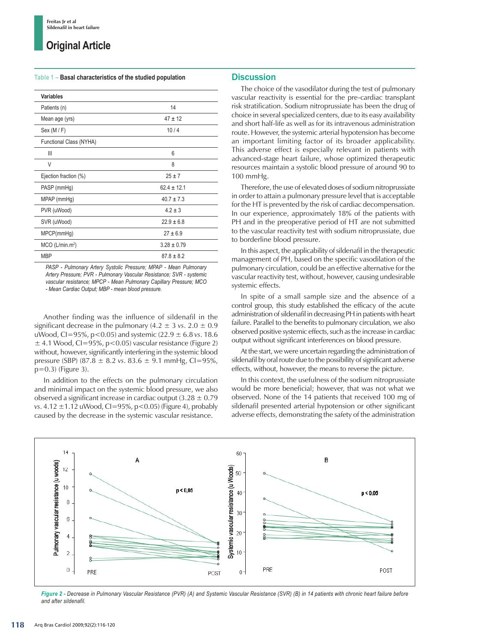## **Original Article**

#### **Table 1 – Basal characteristics of the studied population**

| Variables                     |                 |
|-------------------------------|-----------------|
| Patients (n)                  | 14              |
| Mean age (yrs)                | $47 \pm 12$     |
| Sex (M / F)                   | 10/4            |
| Functional Class (NYHA)       |                 |
| Ш                             | 6               |
| V                             | 8               |
| Ejection fraction (%)         | $25 + 7$        |
| PASP (mmHg)                   | $62.4 \pm 12.1$ |
| MPAP (mmHg)                   | $40.7 \pm 7.3$  |
| PVR (uWood)                   | $4.2 \pm 3$     |
| SVR (uWood)                   | $22.9 \pm 6.8$  |
| MPCP(mmHg)                    | $27 \pm 6.9$    |
| $MCO$ (L/min.m <sup>2</sup> ) | $3.28 \pm 0.79$ |
| <b>MBP</b>                    | $87.8 \pm 8.2$  |

*PASP - Pulmonary Artery Systolic Pressure; MPAP - Mean Pulmonary Artery Pressure; PVR - Pulmonary Vascular Resistance; SVR - systemic vascular resistance; MPCP - Mean Pulmonary Capillary Pressure; MCO - Mean Cardiac Output; MBP - mean blood pressure.* 

Another finding was the influence of sildenafil in the significant decrease in the pulmonary  $(4.2 \pm 3 \text{ vs. } 2.0 \pm 0.9)$ uWood, CI=95%, p<0.05) and systemic (22.9 ± 6.8 *vs*. 18.6  $\pm$  4.1 Wood, CI=95%, p<0.05) vascular resistance (Figure 2) without, however, significantly interfering in the systemic blood pressure (SBP) (87.8 ± 8.2 *vs*. 83.6 ± 9.1 mmHg, CI=95%, p=0.3) (Figure 3).

In addition to the effects on the pulmonary circulation and minimal impact on the systemic blood pressure, we also observed a significant increase in cardiac output  $(3.28 \pm 0.79)$ *vs*. 4.12 ±1.12 uWood, CI=95%, p<0.05) (Figure 4), probably caused by the decrease in the systemic vascular resistance.

## **Discussion**

The choice of the vasodilator during the test of pulmonary vascular reactivity is essential for the pre-cardiac transplant risk stratification. Sodium nitroprussiate has been the drug of choice in several specialized centers, due to its easy availability and short half-life as well as for its intravenous administration route. However, the systemic arterial hypotension has become an important limiting factor of its broader applicability. This adverse effect is especially relevant in patients with advanced-stage heart failure, whose optimized therapeutic resources maintain a systolic blood pressure of around 90 to 100 mmHg.

Therefore, the use of elevated doses of sodium nitroprussiate in order to attain a pulmonary pressure level that is acceptable for the HT is prevented by the risk of cardiac decompensation. In our experience, approximately 18% of the patients with PH and in the preoperative period of HT are not submitted to the vascular reactivity test with sodium nitroprussiate, due to borderline blood pressure.

In this aspect, the applicability of sildenafil in the therapeutic management of PH, based on the specific vasodilation of the pulmonary circulation, could be an effective alternative for the vascular reactivity test, without, however, causing undesirable systemic effects.

In spite of a small sample size and the absence of a control group, this study established the efficacy of the acute administration of sildenafil in decreasing PH in patients with heart failure. Parallel to the benefits to pulmonary circulation, we also observed positive systemic effects, such as the increase in cardiac output without significant interferences on blood pressure.

At the start, we were uncertain regarding the administration of sildenafil by oral route due to the possibility of significant adverse effects, without, however, the means to reverse the picture.

In this context, the usefulness of the sodium nitroprussiate would be more beneficial; however, that was not what we observed. None of the 14 patients that received 100 mg of sildenafil presented arterial hypotension or other significant adverse effects, demonstrating the safety of the administration



*Figure 2 - Decrease in Pulmonary Vascular Resistance (PVR) (A) and Systemic Vascular Resistance (SVR) (B) in 14 patients with chronic heart failure before and after sildenafil.*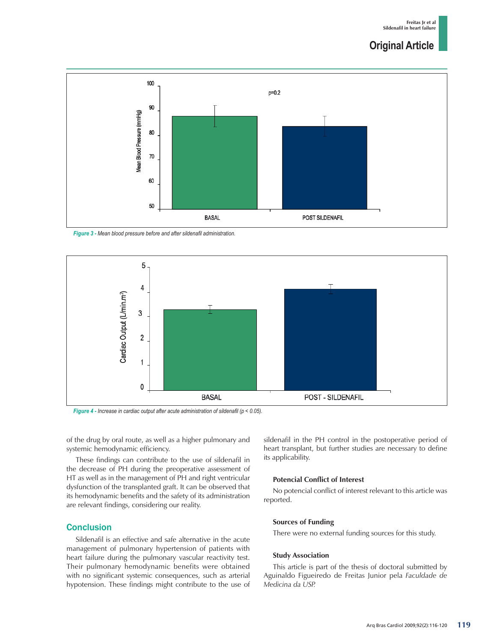# **Original Article**



*Figure 3 - Mean blood pressure before and after sildenafil administration.*



*Figure 4 - Increase in cardiac output after acute administration of sildenafil (p < 0.05).*

of the drug by oral route, as well as a higher pulmonary and systemic hemodynamic efficiency.

These findings can contribute to the use of sildenafil in the decrease of PH during the preoperative assessment of HT as well as in the management of PH and right ventricular dysfunction of the transplanted graft. It can be observed that its hemodynamic benefits and the safety of its administration are relevant findings, considering our reality.

## **Conclusion**

Sildenafil is an effective and safe alternative in the acute management of pulmonary hypertension of patients with heart failure during the pulmonary vascular reactivity test. Their pulmonary hemodynamic benefits were obtained with no significant systemic consequences, such as arterial hypotension. These findings might contribute to the use of sildenafil in the PH control in the postoperative period of heart transplant, but further studies are necessary to define its applicability.

### **Potencial Conflict of Interest**

No potencial conflict of interest relevant to this article was reported.

### **Sources of Funding**

There were no external funding sources for this study.

### **Study Association**

This article is part of the thesis of doctoral submitted by Aguinaldo Figueiredo de Freitas Junior pela *Faculdade de Medicina da USP.*